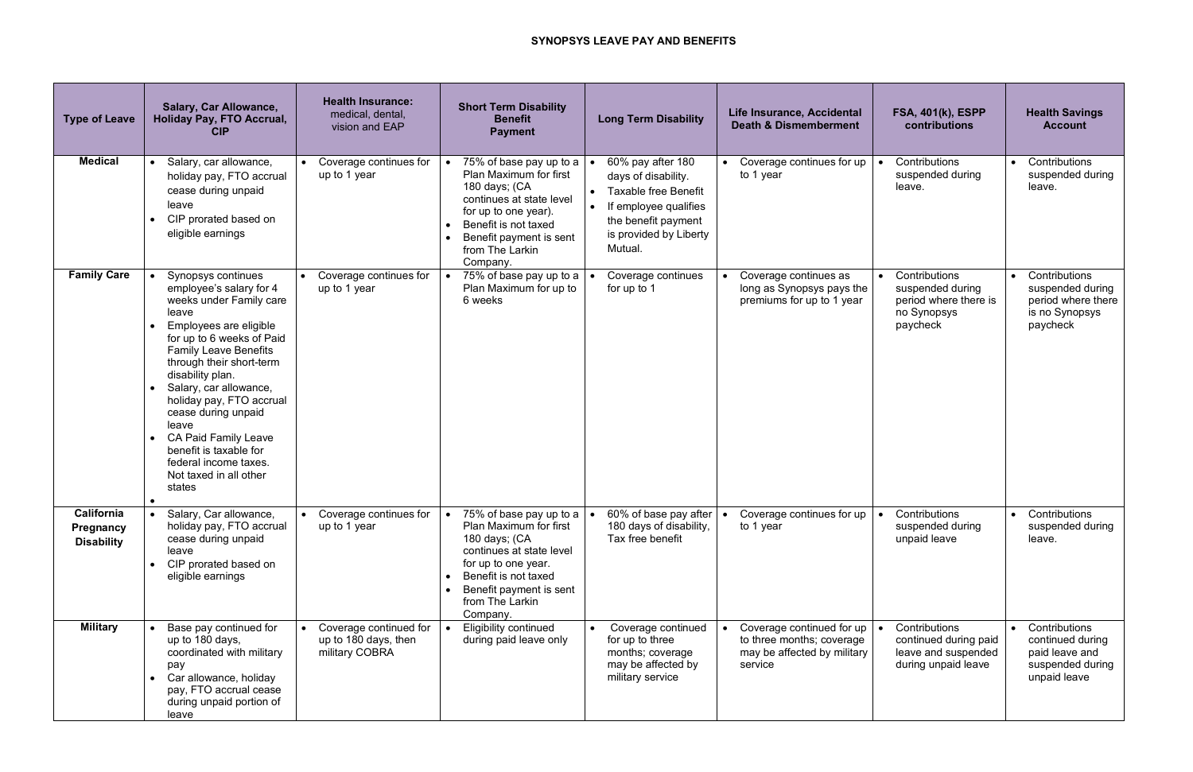## **SYNOPSYS LEAVE PAY AND BENEFITS**

| <b>Type of Leave</b>                         | <b>Salary, Car Allowance,</b><br><b>Holiday Pay, FTO Accrual,</b><br><b>CIP</b>                                                                                                                                                                                                                                                                                                                                                      | <b>Health Insurance:</b><br>medical, dental,<br>vision and EAP   | <b>Short Term Disability</b><br><b>Benefit</b><br><b>Payment</b>                                                                                                                                                               | <b>Long Term Disability</b>                                                                                                                                  | Life Insurance, Accidental<br><b>Death &amp; Dismemberment</b>                                   | <b>FSA, 401(k), ESPP</b><br>contributions                                             | <b>Health Savings</b><br><b>Account</b>                                                              |
|----------------------------------------------|--------------------------------------------------------------------------------------------------------------------------------------------------------------------------------------------------------------------------------------------------------------------------------------------------------------------------------------------------------------------------------------------------------------------------------------|------------------------------------------------------------------|--------------------------------------------------------------------------------------------------------------------------------------------------------------------------------------------------------------------------------|--------------------------------------------------------------------------------------------------------------------------------------------------------------|--------------------------------------------------------------------------------------------------|---------------------------------------------------------------------------------------|------------------------------------------------------------------------------------------------------|
| <b>Medical</b>                               | Salary, car allowance,<br>holiday pay, FTO accrual<br>cease during unpaid<br>leave<br>CIP prorated based on<br>eligible earnings                                                                                                                                                                                                                                                                                                     | Coverage continues for<br>up to 1 year                           | 75% of base pay up to a $\vert \bullet \vert$<br>Plan Maximum for first<br>180 days; (CA<br>continues at state level<br>for up to one year).<br>Benefit is not taxed<br>Benefit payment is sent<br>from The Larkin<br>Company. | 60% pay after 180<br>days of disability.<br><b>Taxable free Benefit</b><br>If employee qualifies<br>the benefit payment<br>is provided by Liberty<br>Mutual. | Coverage continues for up<br>to 1 year                                                           | Contributions<br>suspended during<br>leave.                                           | Contributions<br>$\bullet$<br>suspended during<br>leave.                                             |
| <b>Family Care</b>                           | Synopsys continues<br>employee's salary for 4<br>weeks under Family care<br>leave<br>Employees are eligible<br>for up to 6 weeks of Paid<br><b>Family Leave Benefits</b><br>through their short-term<br>disability plan.<br>Salary, car allowance,<br>holiday pay, FTO accrual<br>cease during unpaid<br>leave<br><b>CA Paid Family Leave</b><br>benefit is taxable for<br>federal income taxes.<br>Not taxed in all other<br>states | Coverage continues for<br>up to 1 year                           | 75% of base pay up to a<br>Plan Maximum for up to<br>6 weeks                                                                                                                                                                   | Coverage continues<br>for up to 1                                                                                                                            | Coverage continues as<br>long as Synopsys pays the<br>premiums for up to 1 year                  | Contributions<br>suspended during<br>period where there is<br>no Synopsys<br>paycheck | • Contributions<br>suspended during<br>period where there<br>is no Synopsys<br>paycheck              |
| California<br>Pregnancy<br><b>Disability</b> | Salary, Car allowance,<br>holiday pay, FTO accrual<br>cease during unpaid<br>leave<br>CIP prorated based on<br>eligible earnings                                                                                                                                                                                                                                                                                                     | Coverage continues for<br>$\bullet$<br>up to 1 year              | 75% of base pay up to a $\bullet$<br>$\bullet$<br>Plan Maximum for first<br>180 days; (CA<br>continues at state level<br>for up to one year.<br>Benefit is not taxed<br>Benefit payment is sent<br>from The Larkin<br>Company. | 60% of base pay after<br>180 days of disability,<br>Tax free benefit                                                                                         | Coverage continues for up<br>to 1 year                                                           | Contributions<br>suspended during<br>unpaid leave                                     | • Contributions<br>suspended during<br>leave.                                                        |
| <b>Military</b>                              | Base pay continued for<br>up to 180 days,<br>coordinated with military<br>pay<br>Car allowance, holiday<br>pay, FTO accrual cease<br>during unpaid portion of<br>leave                                                                                                                                                                                                                                                               | Coverage continued for<br>up to 180 days, then<br>military COBRA | <b>Eligibility continued</b><br>during paid leave only                                                                                                                                                                         | Coverage continued<br>for up to three<br>months; coverage<br>may be affected by<br>military service                                                          | Coverage continued for up<br>to three months; coverage<br>may be affected by military<br>service | Contributions<br>continued during paid<br>leave and suspended<br>during unpaid leave  | Contributions<br>$\bullet$<br>continued during<br>paid leave and<br>suspended during<br>unpaid leave |